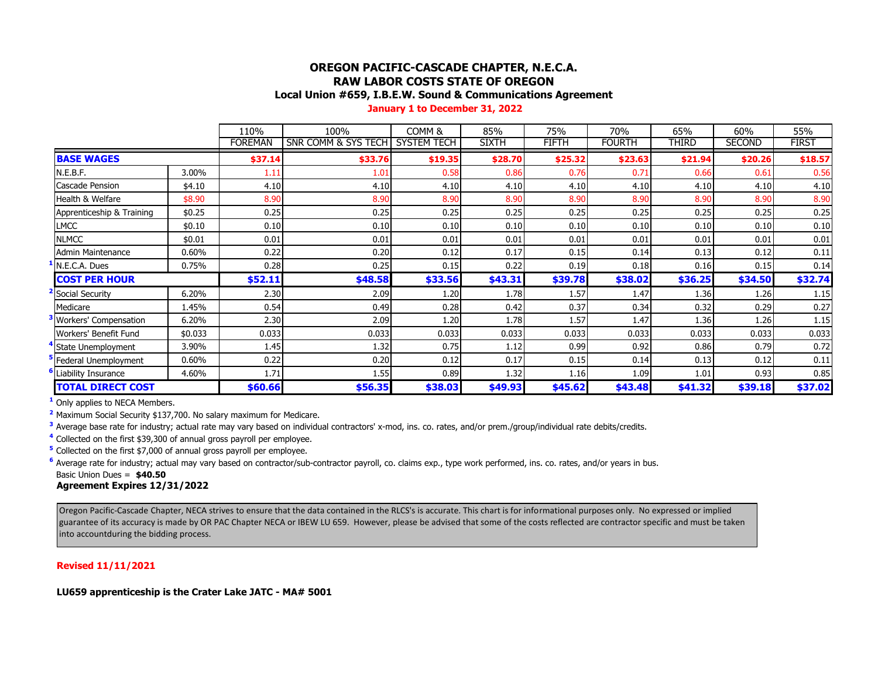# **OREGON PACIFIC-CASCADE CHAPTER, N.E.C.A. RAW LABOR COSTS STATE OF OREGON**

#### **Local Union #659, I.B.E.W. Sound & Communications Agreement**

 **January 1 to December 31, 2022**

|                           |         | 110%           | 100%                | COMM <sub>8</sub>  | 85%          | 75%     | 70%           | 65%     | 60%           | 55%          |
|---------------------------|---------|----------------|---------------------|--------------------|--------------|---------|---------------|---------|---------------|--------------|
|                           |         | <b>FOREMAN</b> | SNR COMM & SYS TECH | <b>SYSTEM TECH</b> | <b>SIXTH</b> | FIFTH   | <b>FOURTH</b> | Third   | <b>SECOND</b> | <b>FIRST</b> |
| <b>BASE WAGES</b>         |         | \$37.14        | \$33.76             | \$19.35            | \$28.70      | \$25.32 | \$23.63       | \$21.94 | \$20.26       | \$18.57      |
| N.E.B.F.                  | 3.00%   | 1.11           | 1.01                | 0.58               | 0.86         | 0.76    | 0.7           | 0.66    | 0.61          | 0.56         |
| Cascade Pension           | \$4.10  | 4.10           | 4.10                | 4.10               | 4.10         | 4.10    | 4.10          | 4.10    | 4.10          | 4.10         |
| Health & Welfare          | \$8.90  | 8.90           | 8.90                | 8.90               | 8.90         | 8.90    | 8.90          | 8.90    | 8.90          | 8.90         |
| Apprenticeship & Training | \$0.25  | 0.25           | 0.25                | 0.25               | 0.25         | 0.25    | 0.25          | 0.25    | 0.25          | 0.25         |
| <b>LMCC</b>               | \$0.10  | 0.10           | 0.10                | 0.10               | 0.10         | 0.10    | 0.10          | 0.10    | 0.10          | 0.10         |
| <b>NLMCC</b>              | \$0.01  | 0.01           | 0.01                | 0.01               | 0.01         | 0.01    | 0.01          | 0.01    | 0.01          | 0.01         |
| Admin Maintenance         | 0.60%   | 0.22           | 0.20                | 0.12               | 0.17         | 0.15    | 0.14          | 0.13    | 0.12          | 0.11         |
| N.E.C.A. Dues             | 0.75%   | 0.28           | 0.25                | 0.15               | 0.22         | 0.19    | 0.18          | 0.16    | 0.15          | 0.14         |
| <b>COST PER HOUR</b>      |         | \$52.11        | \$48.58             | \$33.56            | \$43.31      | \$39.78 | \$38.02       | \$36.25 | \$34.50       | \$32.74      |
| Social Security           | 6.20%   | 2.30           | 2.09                | 1.20               | 1.78         | 1.57    | 1.47          | 1.36    | 1.26          | 1.15         |
| Medicare                  | 1.45%   | 0.54           | 0.49                | 0.28               | 0.42         | 0.37    | 0.34          | 0.32    | 0.29          | 0.27         |
| Workers' Compensation     | 6.20%   | 2.30           | 2.09                | 1.20               | 1.78         | 1.57    | 1.47          | 1.36    | 1.26          | 1.15         |
| Workers' Benefit Fund     | \$0.033 | 0.033          | 0.033               | 0.033              | 0.033        | 0.033   | 0.033         | 0.033   | 0.033         | 0.033        |
| State Unemployment        | 3.90%   | 1.45           | 1.32                | 0.75               | 1.12         | 0.99    | 0.92          | 0.86    | 0.79          | 0.72         |
| Federal Unemployment      | 0.60%   | 0.22           | 0.20                | 0.12               | 0.17         | 0.15    | 0.14          | 0.13    | 0.12          | 0.11         |
| Liability Insurance       | 4.60%   | 1.71           | 1.55                | 0.89               | 1.32         | 1.16    | 1.09          | 1.01    | 0.93          | 0.85         |
| <b>TOTAL DIRECT COST</b>  |         | \$60.66        | \$56.35             | \$38.03            | \$49.93      | \$45.62 | \$43.48       | \$41.32 | \$39.18       | \$37.02      |

**<sup>1</sup>** Only applies to NECA Members.

**<sup>2</sup>** Maximum Social Security \$137,700. No salary maximum for Medicare.

**<sup>3</sup>** Average base rate for industry; actual rate may vary based on individual contractors' x-mod, ins. co. rates, and/or prem./group/individual rate debits/credits.

**<sup>4</sup>** Collected on the first \$39,300 of annual gross payroll per employee.

**<sup>5</sup>** Collected on the first \$7,000 of annual gross payroll per employee.

**<sup>6</sup>** Average rate for industry; actual may vary based on contractor/sub-contractor payroll, co. claims exp., type work performed, ins. co. rates, and/or years in bus. Basic Union Dues = **\$40.50**

#### **Agreement Expires 12/31/2022**

Oregon Pacific-Cascade Chapter, NECA strives to ensure that the data contained in the RLCS's is accurate. This chart is for informational purposes only. No expressed or implied guarantee of its accuracy is made by OR PAC Chapter NECA or IBEW LU 659. However, please be advised that some of the costs reflected are contractor specific and must be taken into accountduring the bidding process.

#### **Revised 11/11/2021**

**LU659 apprenticeship is the Crater Lake JATC - MA# 5001**